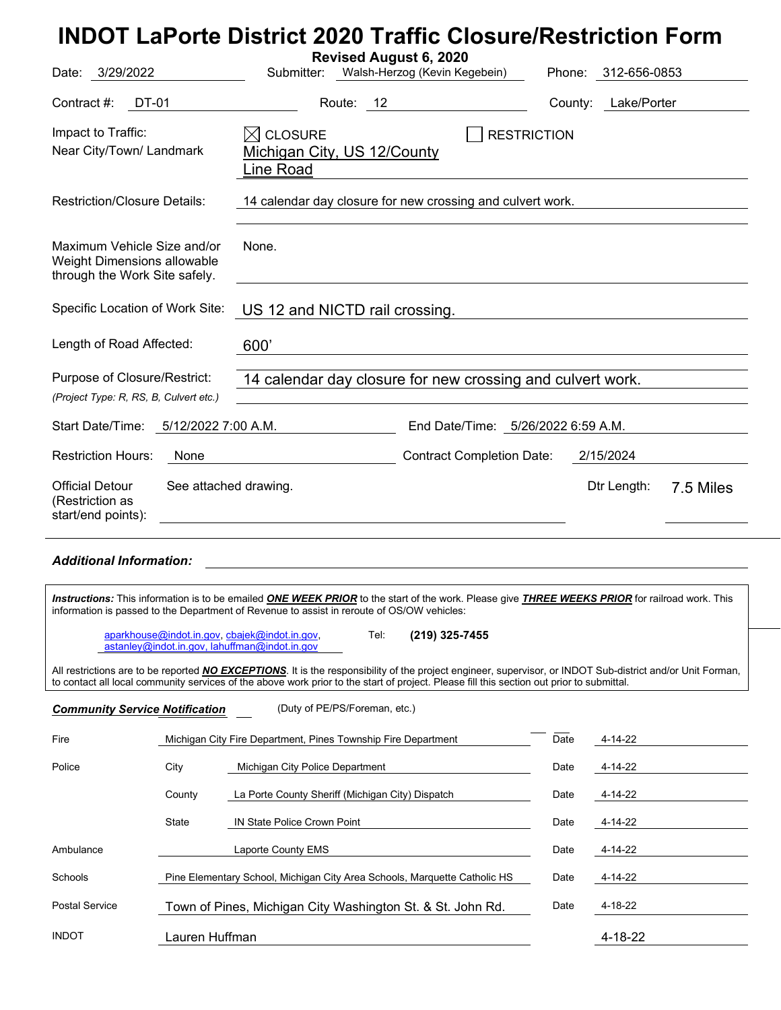| Date: 3/29/2022                                                                                                                                                                                                                              | Revised August 6, 2020<br>Submitter: Walsh-Herzog (Kevin Kegebein)                           |                                  | Phone: 312-656-0853 |           |  |
|----------------------------------------------------------------------------------------------------------------------------------------------------------------------------------------------------------------------------------------------|----------------------------------------------------------------------------------------------|----------------------------------|---------------------|-----------|--|
| Contract #:<br>DT-01                                                                                                                                                                                                                         | Route: 12                                                                                    |                                  | County: Lake/Porter |           |  |
| Impact to Traffic:<br>Near City/Town/ Landmark                                                                                                                                                                                               | $\boxtimes$ Closure<br><b>RESTRICTION</b><br>Michigan City, US 12/County<br><u>Line Road</u> |                                  |                     |           |  |
| <b>Restriction/Closure Details:</b>                                                                                                                                                                                                          | 14 calendar day closure for new crossing and culvert work.                                   |                                  |                     |           |  |
| Maximum Vehicle Size and/or<br>Weight Dimensions allowable<br>through the Work Site safely.                                                                                                                                                  | None.                                                                                        |                                  |                     |           |  |
| Specific Location of Work Site:                                                                                                                                                                                                              | US 12 and NICTD rail crossing.                                                               |                                  |                     |           |  |
| Length of Road Affected:                                                                                                                                                                                                                     | 600'                                                                                         |                                  |                     |           |  |
| Purpose of Closure/Restrict:<br>14 calendar day closure for new crossing and culvert work.<br>(Project Type: R, RS, B, Culvert etc.)                                                                                                         |                                                                                              |                                  |                     |           |  |
| 5/12/2022 7:00 A.M.<br>End Date/Time: 5/26/2022 6:59 A.M.<br>Start Date/Time:                                                                                                                                                                |                                                                                              |                                  |                     |           |  |
| <b>Restriction Hours:</b><br>None                                                                                                                                                                                                            |                                                                                              | <b>Contract Completion Date:</b> | 2/15/2024           |           |  |
| <b>Official Detour</b><br>See attached drawing.<br>(Restriction as<br>start/end points):                                                                                                                                                     | <u> 1989 - Johann Stein, fransk politik (f. 1989)</u>                                        |                                  | Dtr Length:         | 7.5 Miles |  |
| <b>Additional Information:</b>                                                                                                                                                                                                               |                                                                                              |                                  |                     |           |  |
| Instructions: This information is to be emailed ONE WEEK PRIOR to the start of the work. Please give THREE WEEKS PRIOR for railroad work. This<br>information is passed to the Department of Revenue to assist in reroute of OS/OW vehicles: |                                                                                              |                                  |                     |           |  |
| aparkhouse@indot.in.gov, cbajek@indot.in.gov,<br>astanley@indot.in.gov, lahuffman@indot.in.gov                                                                                                                                               | Tel:                                                                                         | (219) 325-7455                   |                     |           |  |

All restrictions are to be reported *NO EXCEPTIONS*. It is the responsibility of the project engineer, supervisor, or INDOT Sub-district and/or Unit Forman, to contact all local community services of the above work prior to the start of project. Please fill this section out prior to submittal.

| <b>Community Service Notification</b> |                                                                           | (Duty of PE/PS/Foreman, etc.)                                 |      |         |
|---------------------------------------|---------------------------------------------------------------------------|---------------------------------------------------------------|------|---------|
| Fire                                  |                                                                           | Michigan City Fire Department, Pines Township Fire Department | Date | 4-14-22 |
| Police                                | City                                                                      | Michigan City Police Department                               | Date | 4-14-22 |
|                                       | County                                                                    | La Porte County Sheriff (Michigan City) Dispatch              | Date | 4-14-22 |
|                                       | State                                                                     | <b>IN State Police Crown Point</b>                            | Date | 4-14-22 |
| Ambulance                             |                                                                           | Laporte County EMS                                            | Date | 4-14-22 |
| Schools                               | Pine Elementary School, Michigan City Area Schools, Marguette Catholic HS |                                                               | Date | 4-14-22 |
| <b>Postal Service</b>                 | Town of Pines, Michigan City Washington St. & St. John Rd.                |                                                               | Date | 4-18-22 |
| <b>INDOT</b>                          | Lauren Huffman                                                            |                                                               |      | 4-18-22 |